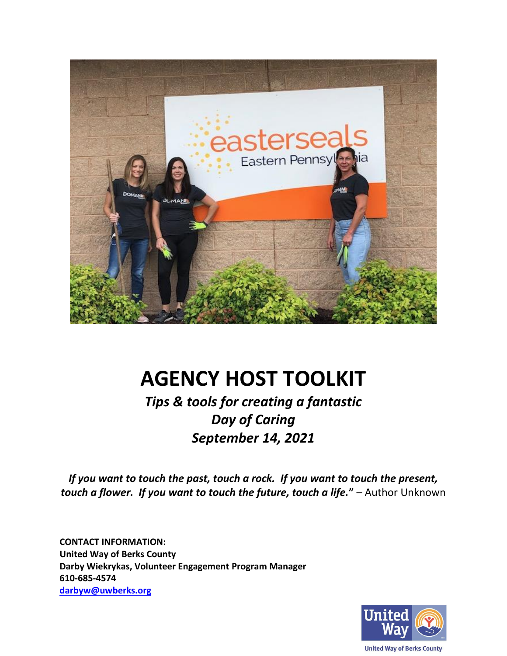

# **AGENCY HOST TOOLKIT**

*Tips & tools for creating a fantastic Day of Caring September 14, 2021*

*If you want to touch the past, touch a rock. If you want to touch the present, touch a flower. If you want to touch the future, touch a life.***"** – Author Unknown

**CONTACT INFORMATION: United Way of Berks County Darby Wiekrykas, Volunteer Engagement Program Manager 610-685-4574 [darbyw@uwberks.org](mailto:michelleg@uwberks.org)**

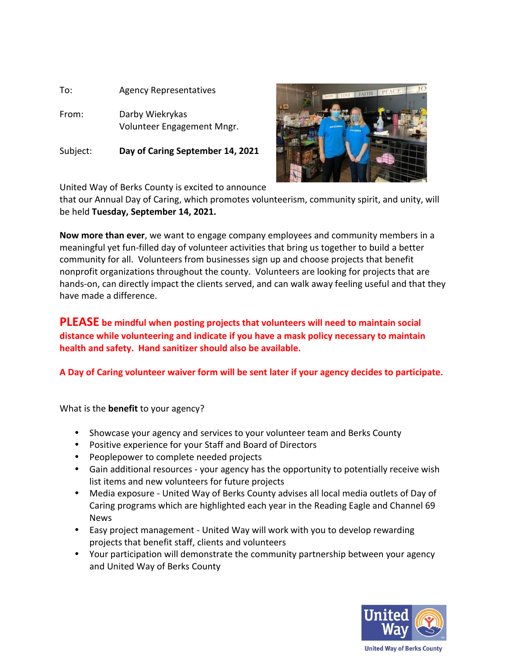

Subject: **Day of Caring September 14, 2021** 



United Way of Berks County is excited to announce

that our Annual Day of Caring, which promotes volunteerism, community spirit, and unity, will be held **Tuesday, September 14, 2021.**

**Now more than ever**, we want to engage company employees and community members in a meaningful yet fun-filled day of volunteer activities that bring us together to build a better community for all. Volunteers from businesses sign up and choose projects that benefit nonprofit organizations throughout the county. Volunteers are looking for projects that are hands-on, can directly impact the clients served, and can walk away feeling useful and that they have made a difference.

**PLEASE be mindful when posting projects that volunteers will need to maintain social distance while volunteering and indicate if you have a mask policy necessary to maintain health and safety. Hand sanitizer should also be available.** 

**A Day of Caring volunteer waiver form will be sent later if your agency decides to participate.**

What is the **benefit** to your agency?

- Showcase your agency and services to your volunteer team and Berks County
- Positive experience for your Staff and Board of Directors
- Peoplepower to complete needed projects
- Gain additional resources your agency has the opportunity to potentially receive wish list items and new volunteers for future projects
- Media exposure United Way of Berks County advises all local media outlets of Day of Caring programs which are highlighted each year in the Reading Eagle and Channel 69 News
- Easy project management United Way will work with you to develop rewarding projects that benefit staff, clients and volunteers
- Your participation will demonstrate the community partnership between your agency and United Way of Berks County

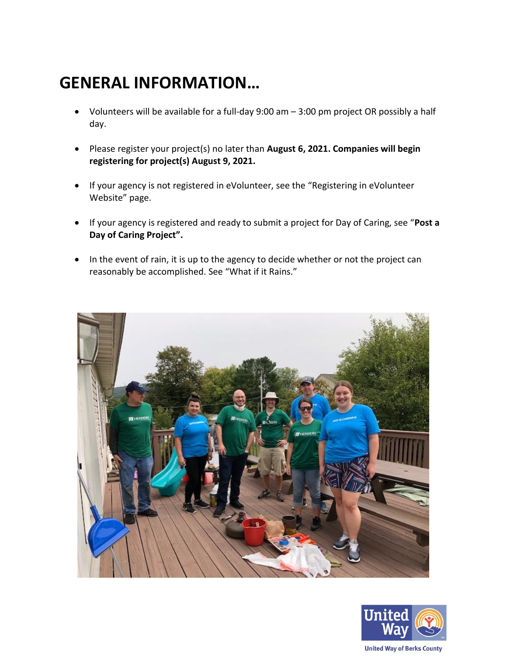## **GENERAL INFORMATION…**

- Volunteers will be available for a full-day 9:00 am 3:00 pm project OR possibly a half day.
- Please register your project(s) no later than **August 6, 2021. Companies will begin registering for project(s) August 9, 2021.**
- If your agency is not registered in eVolunteer, see the "Registering in eVolunteer Website" page.
- If your agency is registered and ready to submit a project for Day of Caring, see "**Post a Day of Caring Project".**
- In the event of rain, it is up to the agency to decide whether or not the project can reasonably be accomplished. See "What if it Rains."



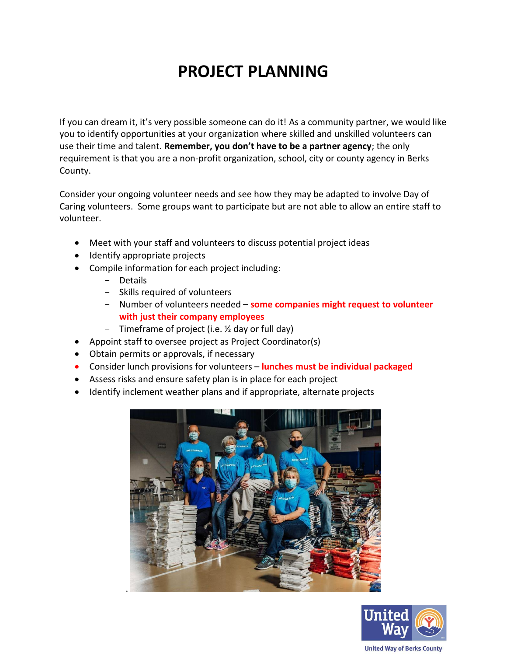## **PROJECT PLANNING**

If you can dream it, it's very possible someone can do it! As a community partner, we would like you to identify opportunities at your organization where skilled and unskilled volunteers can use their time and talent. **Remember, you don't have to be a partner agency**; the only requirement is that you are a non-profit organization, school, city or county agency in Berks County.

Consider your ongoing volunteer needs and see how they may be adapted to involve Day of Caring volunteers. Some groups want to participate but are not able to allow an entire staff to volunteer.

- Meet with your staff and volunteers to discuss potential project ideas
- Identify appropriate projects
- Compile information for each project including:
	- Details
	- Skills required of volunteers
	- Number of volunteers needed **– some companies might request to volunteer with just their company employees**
	- Timeframe of project (i.e. ½ day or full day)
- Appoint staff to oversee project as Project Coordinator(s)
- Obtain permits or approvals, if necessary
- Consider lunch provisions for volunteers **lunches must be individual packaged**
- Assess risks and ensure safety plan is in place for each project
- Identify inclement weather plans and if appropriate, alternate projects





**United Way of Berks County**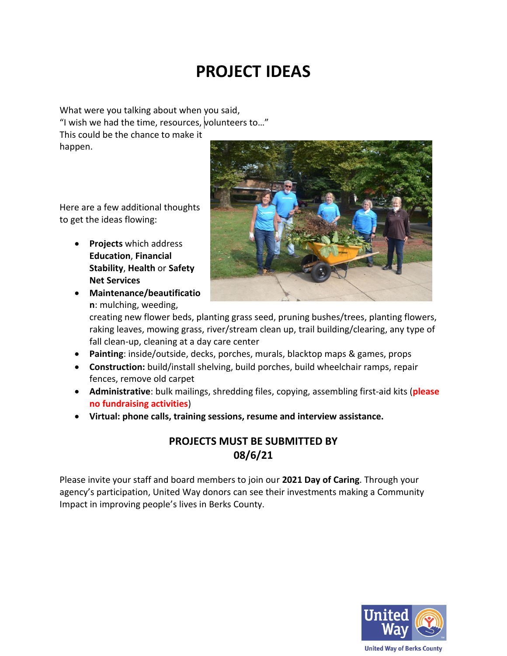## **PROJECT IDEAS**

What were you talking about when you said, "I wish we had the time, resources, volunteers to…" This could be the chance to make it happen.

Here are a few additional thoughts to get the ideas flowing:

- **Projects** which address **Education**, **Financial Stability**, **Health** or **Safety Net Services**
- **Maintenance/beautificatio n**: mulching, weeding,



creating new flower beds, planting grass seed, pruning bushes/trees, planting flowers, raking leaves, mowing grass, river/stream clean up, trail building/clearing, any type of fall clean-up, cleaning at a day care center

- **Painting**: inside/outside, decks, porches, murals, blacktop maps & games, props
- **Construction:** build/install shelving, build porches, build wheelchair ramps, repair fences, remove old carpet
- **Administrative**: bulk mailings, shredding files, copying, assembling first-aid kits (**please no fundraising activities**)
- **Virtual: phone calls, training sessions, resume and interview assistance.**

### **PROJECTS MUST BE SUBMITTED BY 08/6/21**

Please invite your staff and board members to join our **2021 Day of Caring**. Through your agency's participation, United Way donors can see their investments making a Community Impact in improving people's lives in Berks County.

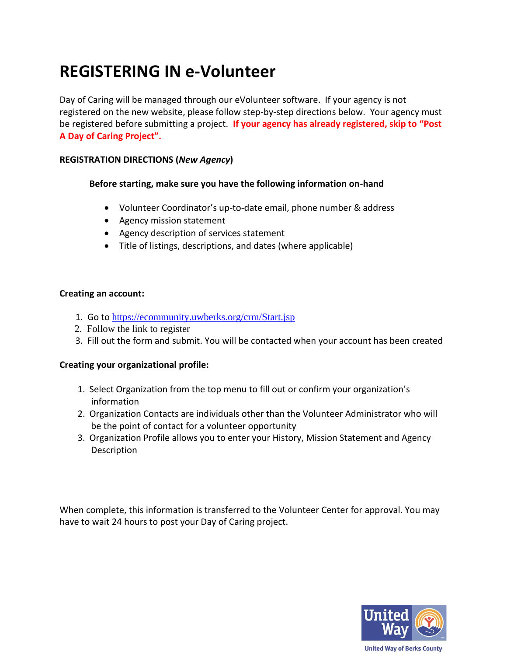## **REGISTERING IN e-Volunteer**

Day of Caring will be managed through our eVolunteer software. If your agency is not registered on the new website, please follow step-by-step directions below. Your agency must be registered before submitting a project. **If your agency has already registered, skip to "Post A Day of Caring Project".**

#### **REGISTRATION DIRECTIONS (***New Agency***)**

#### **Before starting, make sure you have the following information on-hand**

- Volunteer Coordinator's up-to-date email, phone number & address
- Agency mission statement
- Agency description of services statement
- Title of listings, descriptions, and dates (where applicable)

#### **Creating an account:**

- 1. Go to <https://ecommunity.uwberks.org/crm/Start.jsp>
- 2. Follow the link to register
- 3. Fill out the form and submit. You will be contacted when your account has been created

#### **Creating your organizational profile:**

- 1. Select Organization from the top menu to fill out or confirm your organization's information
- 2. Organization Contacts are individuals other than the Volunteer Administrator who will be the point of contact for a volunteer opportunity
- 3. Organization Profile allows you to enter your History, Mission Statement and Agency **Description**

When complete, this information is transferred to the Volunteer Center for approval. You may have to wait 24 hours to post your Day of Caring project.



**United Way of Berks County**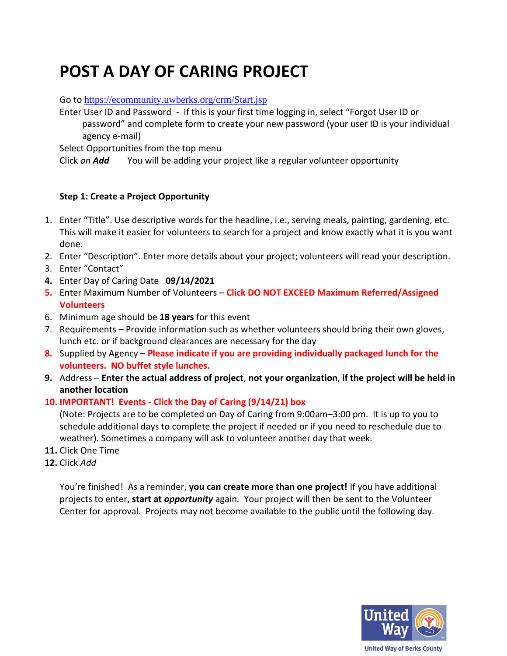## **POST A DAY OF CARING PROJECT**

Go to <https://ecommunity.uwberks.org/crm/Start.jsp>

Enter User ID and Password - If this is your first time logging in, select "Forgot User ID or password" and complete form to create your new password (your user ID is your individual agency e-mail)

Select Opportunities from the top menu

Click *on Add* You will be adding your project like a regular volunteer opportunity

#### **Step 1: Create a Project Opportunity**

- 1. Enter "Title". Use descriptive words for the headline, i.e., serving meals, painting, gardening, etc. This will make it easier for volunteers to search for a project and know exactly what it is you want done.
- 2. Enter "Description". Enter more details about your project; volunteers will read your description.
- 3. Enter "Contact"
- **4.** Enter Day of Caring Date **09/14/2021**
- **5.** Enter Maximum Number of Volunteers **Click DO NOT EXCEED Maximum Referred/Assigned Volunteers**
- 6. Minimum age should be **18 years** for this event
- 7. Requirements Provide information such as whether volunteers should bring their own gloves, lunch etc. or if background clearances are necessary for the day
- **8.** Supplied by Agency **Please indicate if you are providing individually packaged lunch for the volunteers. NO buffet style lunches.**
- **9.** Address **Enter the actual address of project**, **not your organization**, **if the project will be held in another location**

#### **10. IMPORTANT! Events - Click the Day of Caring (9/14/21) box**

(Note: Projects are to be completed on Day of Caring from 9:00am–3:00 pm. It is up to you to schedule additional days to complete the project if needed or if you need to reschedule due to weather). Sometimes a company will ask to volunteer another day that week.

- **11.** Click One Time
- **12.** Click *Add*

You're finished! As a reminder, **you can create more than one project!** If you have additional projects to enter, **start at** *opportunity* again*.* Your project will then be sent to the Volunteer Center for approval. Projects may not become available to the public until the following day.

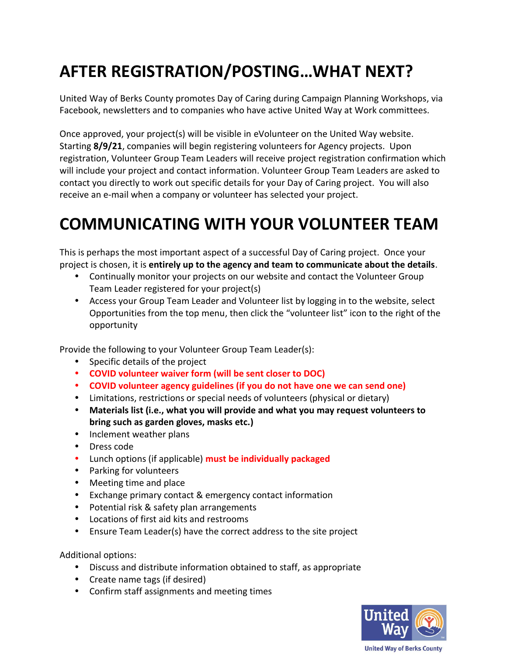# **AFTER REGISTRATION/POSTING…WHAT NEXT?**

United Way of Berks County promotes Day of Caring during Campaign Planning Workshops, via Facebook, newsletters and to companies who have active United Way at Work committees.

Once approved, your project(s) will be visible in eVolunteer on the United Way website. Starting **8/9/21**, companies will begin registering volunteers for Agency projects. Upon registration, Volunteer Group Team Leaders will receive project registration confirmation which will include your project and contact information. Volunteer Group Team Leaders are asked to contact you directly to work out specific details for your Day of Caring project. You will also receive an e-mail when a company or volunteer has selected your project.

## **COMMUNICATING WITH YOUR VOLUNTEER TEAM**

This is perhaps the most important aspect of a successful Day of Caring project. Once your project is chosen, it is **entirely up to the agency and team to communicate about the details**.

- Continually monitor your projects on our website and contact the Volunteer Group Team Leader registered for your project(s)
- Access your Group Team Leader and Volunteer list by logging in to the website, select Opportunities from the top menu, then click the "volunteer list" icon to the right of the opportunity

Provide the following to your Volunteer Group Team Leader(s):

- Specific details of the project
- **COVID volunteer waiver form (will be sent closer to DOC)**
- **COVID volunteer agency guidelines (if you do not have one we can send one)**
- Limitations, restrictions or special needs of volunteers (physical or dietary)
- **Materials list (i.e., what you will provide and what you may request volunteers to bring such as garden gloves, masks etc.)**
- Inclement weather plans
- Dress code
- Lunch options (if applicable) **must be individually packaged**
- Parking for volunteers
- Meeting time and place
- Exchange primary contact & emergency contact information
- Potential risk & safety plan arrangements
- Locations of first aid kits and restrooms
- Ensure Team Leader(s) have the correct address to the site project

Additional options:

- Discuss and distribute information obtained to staff, as appropriate
- Create name tags (if desired)
- Confirm staff assignments and meeting times

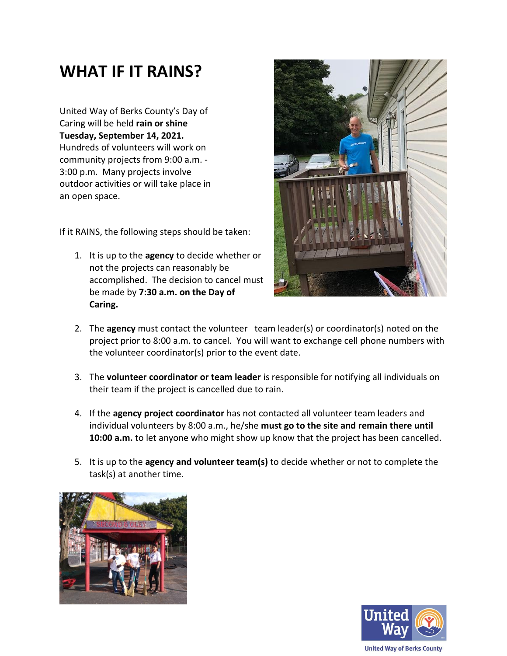### **WHAT IF IT RAINS?**

United Way of Berks County's Day of Caring will be held **rain or shine Tuesday, September 14, 2021.** Hundreds of volunteers will work on community projects from 9:00 a.m. - 3:00 p.m. Many projects involve outdoor activities or will take place in an open space.

If it RAINS, the following steps should be taken:

1. It is up to the **agency** to decide whether or not the projects can reasonably be accomplished. The decision to cancel must be made by **7:30 a.m. on the Day of Caring.**



- 2. The **agency** must contact the volunteer team leader(s) or coordinator(s) noted on the project prior to 8:00 a.m. to cancel. You will want to exchange cell phone numbers with the volunteer coordinator(s) prior to the event date.
- 3. The **volunteer coordinator or team leader** is responsible for notifying all individuals on their team if the project is cancelled due to rain.
- 4. If the **agency project coordinator** has not contacted all volunteer team leaders and individual volunteers by 8:00 a.m., he/she **must go to the site and remain there until 10:00 a.m.** to let anyone who might show up know that the project has been cancelled.
- 5. It is up to the **agency and volunteer team(s)** to decide whether or not to complete the task(s) at another time.